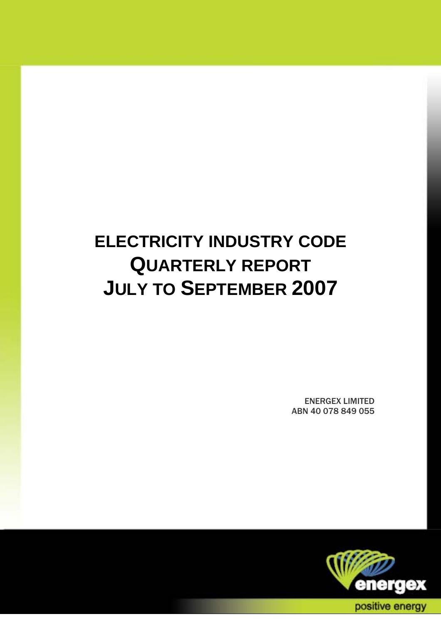# **ELECTRICITY INDUSTRY CODE QUARTERLY REPORT JULY TO SEPTEMBER 2007**

ENERGEX LIMITED ABN 40 078 849 055

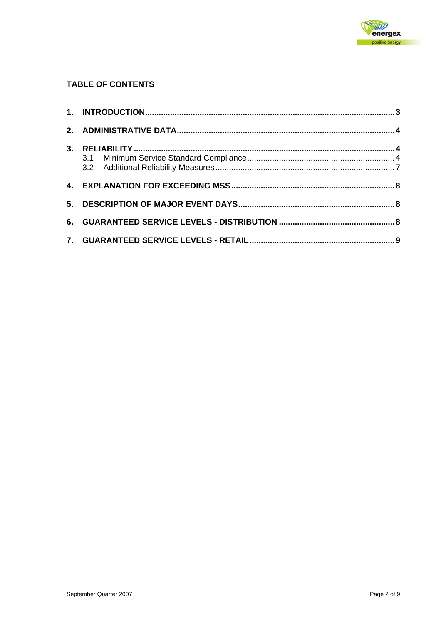

#### **TABLE OF CONTENTS**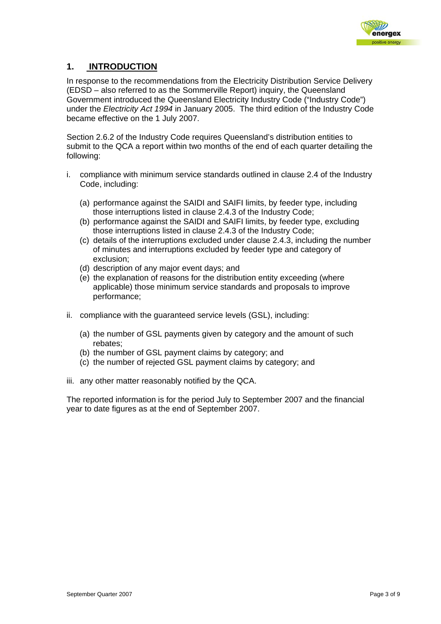

### **1. INTRODUCTION**

In response to the recommendations from the Electricity Distribution Service Delivery (EDSD – also referred to as the Sommerville Report) inquiry, the Queensland Government introduced the Queensland Electricity Industry Code ("Industry Code") under the *Electricity Act 1994* in January 2005. The third edition of the Industry Code became effective on the 1 July 2007.

Section 2.6.2 of the Industry Code requires Queensland's distribution entities to submit to the QCA a report within two months of the end of each quarter detailing the following:

- i. compliance with minimum service standards outlined in clause 2.4 of the Industry Code, including:
	- (a) performance against the SAIDI and SAIFI limits, by feeder type, including those interruptions listed in clause 2.4.3 of the Industry Code;
	- (b) performance against the SAIDI and SAIFI limits, by feeder type, excluding those interruptions listed in clause 2.4.3 of the Industry Code;
	- (c) details of the interruptions excluded under clause 2.4.3, including the number of minutes and interruptions excluded by feeder type and category of exclusion;
	- (d) description of any major event days; and
	- (e) the explanation of reasons for the distribution entity exceeding (where applicable) those minimum service standards and proposals to improve performance;
- ii. compliance with the guaranteed service levels (GSL), including:
	- (a) the number of GSL payments given by category and the amount of such rebates;
	- (b) the number of GSL payment claims by category; and
	- (c) the number of rejected GSL payment claims by category; and
- iii. any other matter reasonably notified by the QCA.

The reported information is for the period July to September 2007 and the financial year to date figures as at the end of September 2007.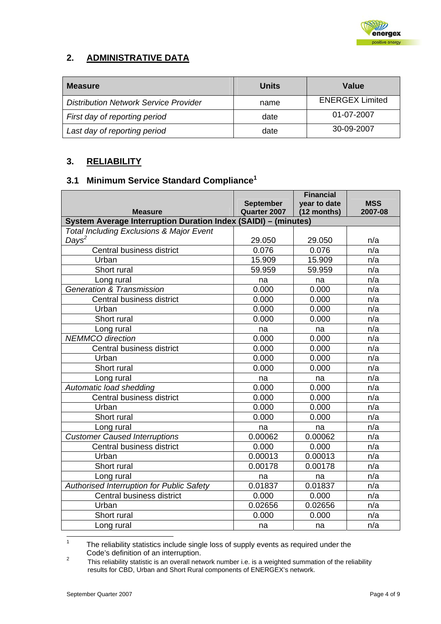

## **2. ADMINISTRATIVE DATA**

| <b>Measure</b>                               | Units | Value                  |
|----------------------------------------------|-------|------------------------|
| <b>Distribution Network Service Provider</b> | name  | <b>ENERGEX Limited</b> |
| First day of reporting period                | date  | 01-07-2007             |
| Last day of reporting period                 | date  | 30-09-2007             |

## **3. RELIABILITY**

# **3.1 Minimum Service Standard Compliance<sup>1</sup>**

|                                                                |                  | <b>Financial</b> |            |  |  |  |  |  |
|----------------------------------------------------------------|------------------|------------------|------------|--|--|--|--|--|
|                                                                | <b>September</b> | year to date     | <b>MSS</b> |  |  |  |  |  |
| <b>Measure</b>                                                 | Quarter 2007     | (12 months)      | 2007-08    |  |  |  |  |  |
| System Average Interruption Duration Index (SAIDI) - (minutes) |                  |                  |            |  |  |  |  |  |
| <b>Total Including Exclusions &amp; Major Event</b>            |                  |                  |            |  |  |  |  |  |
| Days <sup>2</sup>                                              | 29.050           | 29.050           | n/a        |  |  |  |  |  |
| Central business district                                      | 0.076            | 0.076            | n/a        |  |  |  |  |  |
| Urban                                                          | 15.909           | 15.909           | n/a        |  |  |  |  |  |
| Short rural                                                    | 59.959           | 59.959           | n/a        |  |  |  |  |  |
| Long rural                                                     | na               | na               | n/a        |  |  |  |  |  |
| <b>Generation &amp; Transmission</b>                           | 0.000            | 0.000            | n/a        |  |  |  |  |  |
| Central business district                                      | 0.000            | 0.000            | n/a        |  |  |  |  |  |
| Urban                                                          | 0.000            | 0.000            | n/a        |  |  |  |  |  |
| Short rural                                                    | 0.000            | 0.000            | n/a        |  |  |  |  |  |
| Long rural                                                     | na               | na               | n/a        |  |  |  |  |  |
| <b>NEMMCO</b> direction                                        | 0.000            | 0.000            | n/a        |  |  |  |  |  |
| Central business district                                      | 0.000            | 0.000            | n/a        |  |  |  |  |  |
| Urban                                                          | 0.000            | 0.000            | n/a        |  |  |  |  |  |
| Short rural                                                    | 0.000            | 0.000            | n/a        |  |  |  |  |  |
| Long rural                                                     | na               | na               | n/a        |  |  |  |  |  |
| Automatic load shedding                                        | 0.000            | 0.000            | n/a        |  |  |  |  |  |
| Central business district                                      | 0.000            | 0.000            | n/a        |  |  |  |  |  |
| Urban                                                          | 0.000            | 0.000            | n/a        |  |  |  |  |  |
| Short rural                                                    | 0.000            | 0.000            | n/a        |  |  |  |  |  |
| Long rural                                                     | na               | na               | n/a        |  |  |  |  |  |
| <b>Customer Caused Interruptions</b>                           | 0.00062          | 0.00062          | n/a        |  |  |  |  |  |
| Central business district                                      | 0.000            | 0.000            | n/a        |  |  |  |  |  |
| Urban                                                          | 0.00013          | 0.00013          | n/a        |  |  |  |  |  |
| Short rural                                                    | 0.00178          | 0.00178          | n/a        |  |  |  |  |  |
| Long rural                                                     | na               | na               | n/a        |  |  |  |  |  |
| Authorised Interruption for Public Safety                      | 0.01837          | 0.01837          | n/a        |  |  |  |  |  |
| Central business district                                      | 0.000            | 0.000            | n/a        |  |  |  |  |  |
| Urban                                                          | 0.02656          | 0.02656          | n/a        |  |  |  |  |  |
| Short rural                                                    | 0.000            | 0.000            | n/a        |  |  |  |  |  |
| Long rural                                                     | na               | na               | n/a        |  |  |  |  |  |

 $\frac{1}{1}$  The reliability statistics include single loss of supply events as required under the Code's definition of an interruption.

This reliability statistic is an overall network number i.e. is a weighted summation of the reliability results for CBD, Urban and Short Rural components of ENERGEX's network.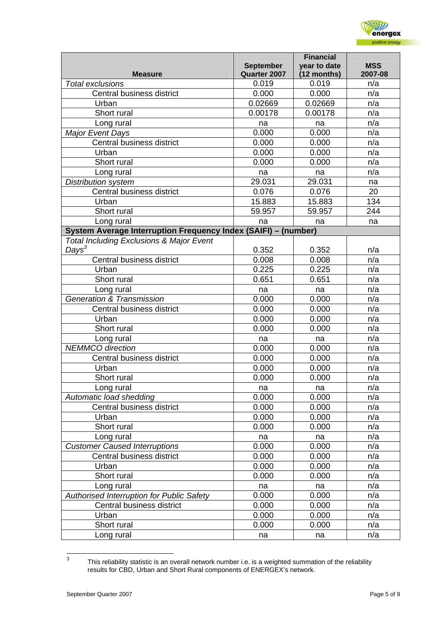

|                                                                |                                  | <b>Financial</b>            |                       |
|----------------------------------------------------------------|----------------------------------|-----------------------------|-----------------------|
| <b>Measure</b>                                                 | <b>September</b><br>Quarter 2007 | year to date<br>(12 months) | <b>MSS</b><br>2007-08 |
| <b>Total exclusions</b>                                        | 0.019                            | 0.019                       | n/a                   |
| Central business district                                      | 0.000                            | 0.000                       | n/a                   |
| Urban                                                          | 0.02669                          | 0.02669                     | n/a                   |
| Short rural                                                    | 0.00178                          | 0.00178                     | n/a                   |
| Long rural                                                     | na                               | na                          | n/a                   |
| <b>Major Event Days</b>                                        | 0.000                            | 0.000                       | n/a                   |
| Central business district                                      | 0.000                            | 0.000                       | n/a                   |
| Urban                                                          | 0.000                            | 0.000                       | n/a                   |
| Short rural                                                    | 0.000                            | 0.000                       | n/a                   |
| Long rural                                                     | na                               | na                          | n/a                   |
| <b>Distribution system</b>                                     | 29.031                           | 29.031                      | na                    |
| Central business district                                      | 0.076                            | 0.076                       | 20                    |
| Urban                                                          | 15.883                           | 15.883                      | 134                   |
| Short rural                                                    | 59.957                           | 59.957                      | 244                   |
| Long rural                                                     | na                               | na                          | na                    |
| System Average Interruption Frequency Index (SAIFI) - (number) |                                  |                             |                       |
| <b>Total Including Exclusions &amp; Major Event</b>            |                                  |                             |                       |
| $Days^3$                                                       | 0.352                            | 0.352                       | n/a                   |
| Central business district                                      | 0.008                            | 0.008                       | n/a                   |
| Urban                                                          | 0.225                            | 0.225                       | n/a                   |
| Short rural                                                    | 0.651                            | 0.651                       | n/a                   |
| Long rural                                                     | na                               | na                          | n/a                   |
| <b>Generation &amp; Transmission</b>                           | 0.000                            | 0.000                       | n/a                   |
| Central business district                                      | 0.000                            | 0.000                       | n/a                   |
| Urban                                                          | 0.000                            | 0.000                       | n/a                   |
| Short rural                                                    | 0.000                            | 0.000                       | n/a                   |
| Long rural                                                     | na                               | na                          | n/a                   |
| <b>NEMMCO</b> direction                                        | 0.000                            | 0.000                       | n/a                   |
| Central business district                                      | 0.000                            | 0.000                       | n/a                   |
| Urban                                                          | 0.000                            | 0.000                       | n/a                   |
| Short rural                                                    | 0.000                            | 0.000                       | n/a                   |
| Long rural                                                     | na                               | na                          | n/a                   |
| Automatic load shedding                                        | 0.000                            | 0.000                       | n/a                   |
| Central business district                                      | 0.000                            | 0.000                       | n/a                   |
| Urban                                                          | 0.000                            | 0.000                       | n/a                   |
| Short rural                                                    | 0.000                            | 0.000                       | n/a                   |
| Long rural                                                     | na                               | na                          | n/a                   |
| <b>Customer Caused Interruptions</b>                           | 0.000                            | 0.000                       | n/a                   |
| Central business district                                      | 0.000                            | 0.000                       | n/a                   |
| Urban                                                          | 0.000                            | 0.000                       | n/a                   |
| Short rural                                                    | 0.000                            | 0.000                       | n/a                   |
| Long rural                                                     | na                               | na                          | n/a                   |
| Authorised Interruption for Public Safety                      | 0.000                            | 0.000                       | n/a                   |
| Central business district                                      | 0.000                            | 0.000                       | n/a                   |
| Urban                                                          | 0.000                            | 0.000                       | n/a                   |
| Short rural                                                    | 0.000                            | 0.000                       | n/a                   |
| Long rural                                                     | na                               | na                          | n/a                   |

<sup>-&</sup>lt;br>3 This reliability statistic is an overall network number i.e. is a weighted summation of the reliability results for CBD, Urban and Short Rural components of ENERGEX's network.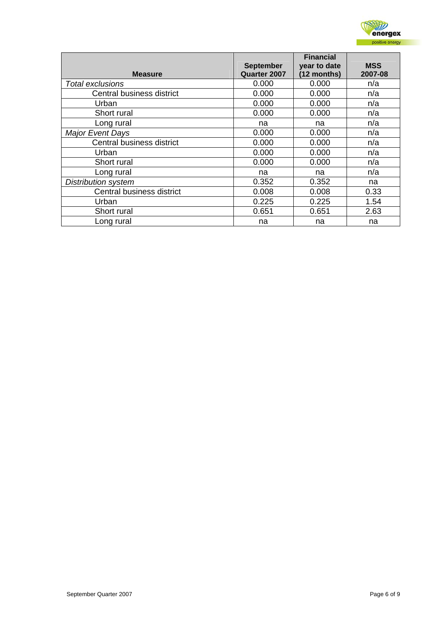

|                            | <b>September</b> | <b>Financial</b><br>year to date | <b>MSS</b> |
|----------------------------|------------------|----------------------------------|------------|
| <b>Measure</b>             | Quarter 2007     | (12 months)                      | 2007-08    |
| Total exclusions           | 0.000            | 0.000                            | n/a        |
| Central business district  | 0.000            | 0.000                            | n/a        |
| Urban                      | 0.000            | 0.000                            | n/a        |
| Short rural                | 0.000            | 0.000                            | n/a        |
| Long rural                 | na               | na                               | n/a        |
| <b>Major Event Days</b>    | 0.000            | 0.000                            | n/a        |
| Central business district  | 0.000            | 0.000                            | n/a        |
| Urban                      | 0.000            | 0.000                            | n/a        |
| Short rural                | 0.000            | 0.000                            | n/a        |
| Long rural                 | na               | na                               | n/a        |
| <b>Distribution system</b> | 0.352            | 0.352                            | na         |
| Central business district  | 0.008            | 0.008                            | 0.33       |
| Urban                      | 0.225            | 0.225                            | 1.54       |
| Short rural                | 0.651            | 0.651                            | 2.63       |
| Long rural                 | na               | na                               | na         |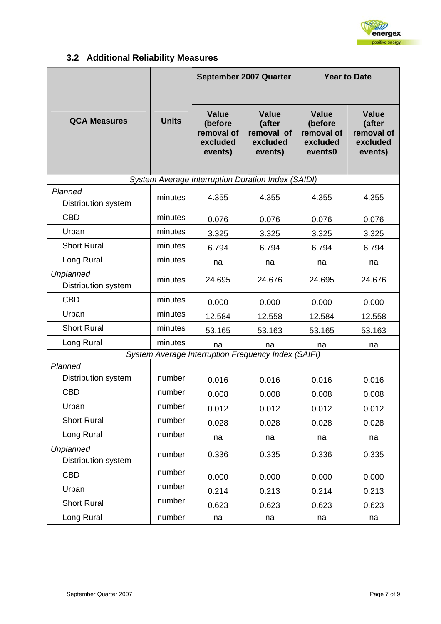

# **3.2 Additional Reliability Measures**

|                                                     |              |                                                              | September 2007 Quarter                                      | <b>Year to Date</b>                                          |                                                             |
|-----------------------------------------------------|--------------|--------------------------------------------------------------|-------------------------------------------------------------|--------------------------------------------------------------|-------------------------------------------------------------|
| <b>QCA Measures</b>                                 | <b>Units</b> | <b>Value</b><br>(before<br>removal of<br>excluded<br>events) | <b>Value</b><br>(after<br>removal of<br>excluded<br>events) | <b>Value</b><br>(before<br>removal of<br>excluded<br>events0 | <b>Value</b><br>(after<br>removal of<br>excluded<br>events) |
|                                                     |              | System Average Interruption Duration Index (SAIDI)           |                                                             |                                                              |                                                             |
| Planned<br>Distribution system                      | minutes      | 4.355                                                        | 4.355                                                       | 4.355                                                        | 4.355                                                       |
| <b>CBD</b>                                          | minutes      | 0.076                                                        | 0.076                                                       | 0.076                                                        | 0.076                                                       |
| Urban                                               | minutes      | 3.325                                                        | 3.325                                                       | 3.325                                                        | 3.325                                                       |
| <b>Short Rural</b>                                  | minutes      | 6.794                                                        | 6.794                                                       | 6.794                                                        | 6.794                                                       |
| Long Rural                                          | minutes      | na                                                           | na                                                          | na                                                           | na                                                          |
| Unplanned<br>Distribution system                    | minutes      | 24.695                                                       | 24.676                                                      | 24.695                                                       | 24.676                                                      |
| <b>CBD</b>                                          | minutes      | 0.000                                                        | 0.000                                                       | 0.000                                                        | 0.000                                                       |
| Urban                                               | minutes      | 12.584                                                       | 12.558                                                      | 12.584                                                       | 12.558                                                      |
| <b>Short Rural</b>                                  | minutes      | 53.165                                                       | 53.163                                                      | 53.165                                                       | 53.163                                                      |
| Long Rural                                          | minutes      | na                                                           | na                                                          | na                                                           | na                                                          |
| System Average Interruption Frequency Index (SAIFI) |              |                                                              |                                                             |                                                              |                                                             |
| Planned<br>Distribution system                      | number       | 0.016                                                        | 0.016                                                       | 0.016                                                        | 0.016                                                       |
| <b>CBD</b>                                          | number       | 0.008                                                        | 0.008                                                       | 0.008                                                        | 0.008                                                       |
| Urban                                               | number       | 0.012                                                        | 0.012                                                       | 0.012                                                        | 0.012                                                       |
| <b>Short Rural</b>                                  | number       | 0.028                                                        | 0.028                                                       | 0.028                                                        | 0.028                                                       |
| Long Rural                                          | number       | na                                                           | na                                                          | na                                                           | na                                                          |
| <b>Unplanned</b><br>Distribution system             | number       | 0.336                                                        | 0.335                                                       | 0.336                                                        | 0.335                                                       |
| <b>CBD</b>                                          | number       | 0.000                                                        | 0.000                                                       | 0.000                                                        | 0.000                                                       |
| Urban                                               | number       | 0.214                                                        | 0.213                                                       | 0.214                                                        | 0.213                                                       |
| <b>Short Rural</b>                                  | number       | 0.623                                                        | 0.623                                                       | 0.623                                                        | 0.623                                                       |
| Long Rural                                          | number       | na                                                           | na                                                          | na                                                           | na                                                          |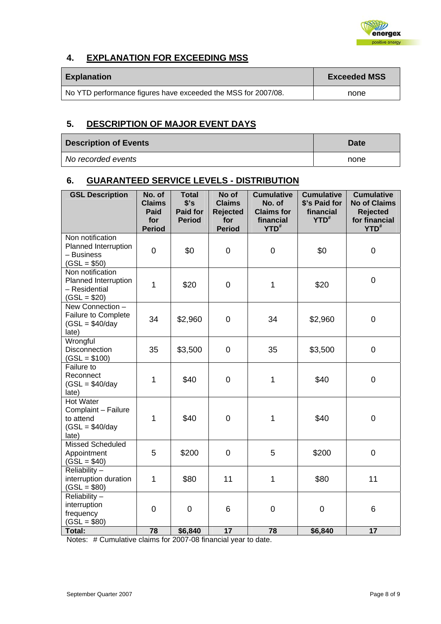

## **4. EXPLANATION FOR EXCEEDING MSS**

| <b>Explanation</b>                                            | <b>Exceeded MSS</b> |
|---------------------------------------------------------------|---------------------|
| No YTD performance figures have exceeded the MSS for 2007/08. | none                |

## **5. DESCRIPTION OF MAJOR EVENT DAYS**

| <b>Description of Events</b> | Date |
|------------------------------|------|
| No recorded events           | none |

## **6. GUARANTEED SERVICE LEVELS - DISTRIBUTION**

| <b>GSL Description</b>                                                            | No. of<br><b>Claims</b><br>Paid<br>for<br><b>Period</b> | <b>Total</b><br>\$'s<br><b>Paid for</b><br><b>Period</b> | No of<br><b>Claims</b><br><b>Rejected</b><br>for<br><b>Period</b> | <b>Cumulative</b><br>No. of<br><b>Claims for</b><br>financial<br>YTD <sup>#</sup> | <b>Cumulative</b><br>\$'s Paid for<br>financial<br>$YTD^*$ | <b>Cumulative</b><br><b>No of Claims</b><br><b>Rejected</b><br>for financial<br>YTD <sup>#</sup> |
|-----------------------------------------------------------------------------------|---------------------------------------------------------|----------------------------------------------------------|-------------------------------------------------------------------|-----------------------------------------------------------------------------------|------------------------------------------------------------|--------------------------------------------------------------------------------------------------|
| Non notification<br>Planned Interruption<br>- Business<br>$(GSL = $50)$           | $\overline{0}$                                          | \$0                                                      | $\mathbf 0$                                                       | $\mathbf 0$                                                                       | \$0                                                        | $\mathbf 0$                                                                                      |
| Non notification<br>Planned Interruption<br>- Residential<br>$(GSL = $20)$        | 1                                                       | \$20                                                     | $\mathbf 0$                                                       | 1                                                                                 | \$20                                                       | $\pmb{0}$                                                                                        |
| New Connection -<br>Failure to Complete<br>$(GSL = $40/day$<br>late)              | 34                                                      | \$2,960                                                  | $\mathbf 0$                                                       | 34                                                                                | \$2,960                                                    | $\mathbf 0$                                                                                      |
| Wrongful<br>Disconnection<br>$(GSL = $100)$                                       | 35                                                      | \$3,500                                                  | $\overline{0}$                                                    | 35                                                                                | \$3,500                                                    | $\overline{0}$                                                                                   |
| Failure to<br>Reconnect<br>$(GSL = $40/day$<br>late)                              | $\mathbf{1}$                                            | \$40                                                     | $\mathbf 0$                                                       | 1                                                                                 | \$40                                                       | $\mathbf 0$                                                                                      |
| <b>Hot Water</b><br>Complaint - Failure<br>to attend<br>$(GSL = $40/day$<br>late) | 1                                                       | \$40                                                     | $\mathbf 0$                                                       | 1                                                                                 | \$40                                                       | $\pmb{0}$                                                                                        |
| <b>Missed Scheduled</b><br>Appointment<br>$(GSL = $40)$                           | 5                                                       | \$200                                                    | 0                                                                 | 5                                                                                 | \$200                                                      | $\mathbf 0$                                                                                      |
| Reliability-<br>interruption duration<br>$(GSL = $80)$                            | $\mathbf{1}$                                            | \$80                                                     | 11                                                                | 1                                                                                 | \$80                                                       | 11                                                                                               |
| Reliability-<br>interruption<br>frequency<br>$(GSL = $80)$                        | 0                                                       | $\mathbf 0$                                              | 6                                                                 | $\mathbf 0$                                                                       | $\mathbf 0$                                                | 6                                                                                                |
| <b>Total:</b>                                                                     | 78                                                      | \$6,840                                                  | 17                                                                | 78                                                                                | \$6,840                                                    | 17                                                                                               |

Notes: # Cumulative claims for 2007-08 financial year to date.